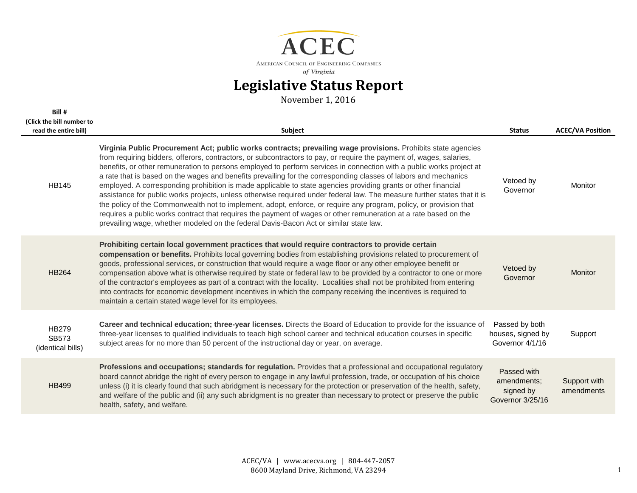

| Bill #                                             |                                                                                                                                                                                                                                                                                                                                                                                                                                                                                                                                                                                                                                                                                                                                                                                                                                                                                                                                                                                                                                                                   |                                                             |                            |
|----------------------------------------------------|-------------------------------------------------------------------------------------------------------------------------------------------------------------------------------------------------------------------------------------------------------------------------------------------------------------------------------------------------------------------------------------------------------------------------------------------------------------------------------------------------------------------------------------------------------------------------------------------------------------------------------------------------------------------------------------------------------------------------------------------------------------------------------------------------------------------------------------------------------------------------------------------------------------------------------------------------------------------------------------------------------------------------------------------------------------------|-------------------------------------------------------------|----------------------------|
| (Click the bill number to<br>read the entire bill) | Subject                                                                                                                                                                                                                                                                                                                                                                                                                                                                                                                                                                                                                                                                                                                                                                                                                                                                                                                                                                                                                                                           | <b>Status</b>                                               | <b>ACEC/VA Position</b>    |
| <b>HB145</b>                                       | Virginia Public Procurement Act; public works contracts; prevailing wage provisions. Prohibits state agencies<br>from requiring bidders, offerors, contractors, or subcontractors to pay, or require the payment of, wages, salaries,<br>benefits, or other remuneration to persons employed to perform services in connection with a public works project at<br>a rate that is based on the wages and benefits prevailing for the corresponding classes of labors and mechanics<br>employed. A corresponding prohibition is made applicable to state agencies providing grants or other financial<br>assistance for public works projects, unless otherwise required under federal law. The measure further states that it is<br>the policy of the Commonwealth not to implement, adopt, enforce, or require any program, policy, or provision that<br>requires a public works contract that requires the payment of wages or other remuneration at a rate based on the<br>prevailing wage, whether modeled on the federal Davis-Bacon Act or similar state law. | Vetoed by<br>Governor                                       | Monitor                    |
| <b>HB264</b>                                       | Prohibiting certain local government practices that would require contractors to provide certain<br>compensation or benefits. Prohibits local governing bodies from establishing provisions related to procurement of<br>goods, professional services, or construction that would require a wage floor or any other employee benefit or<br>compensation above what is otherwise required by state or federal law to be provided by a contractor to one or more<br>of the contractor's employees as part of a contract with the locality. Localities shall not be prohibited from entering<br>into contracts for economic development incentives in which the company receiving the incentives is required to<br>maintain a certain stated wage level for its employees.                                                                                                                                                                                                                                                                                           | Vetoed by<br>Governor                                       | <b>Monitor</b>             |
| <b>HB279</b><br><b>SB573</b><br>(identical bills)  | Career and technical education; three-year licenses. Directs the Board of Education to provide for the issuance of<br>three-year licenses to qualified individuals to teach high school career and technical education courses in specific<br>subject areas for no more than 50 percent of the instructional day or year, on average.                                                                                                                                                                                                                                                                                                                                                                                                                                                                                                                                                                                                                                                                                                                             | Passed by both<br>houses, signed by<br>Governor 4/1/16      | Support                    |
| <b>HB499</b>                                       | Professions and occupations; standards for regulation. Provides that a professional and occupational regulatory<br>board cannot abridge the right of every person to engage in any lawful profession, trade, or occupation of his choice<br>unless (i) it is clearly found that such abridgment is necessary for the protection or preservation of the health, safety,<br>and welfare of the public and (ii) any such abridgment is no greater than necessary to protect or preserve the public<br>health, safety, and welfare.                                                                                                                                                                                                                                                                                                                                                                                                                                                                                                                                   | Passed with<br>amendments;<br>signed by<br>Governor 3/25/16 | Support with<br>amendments |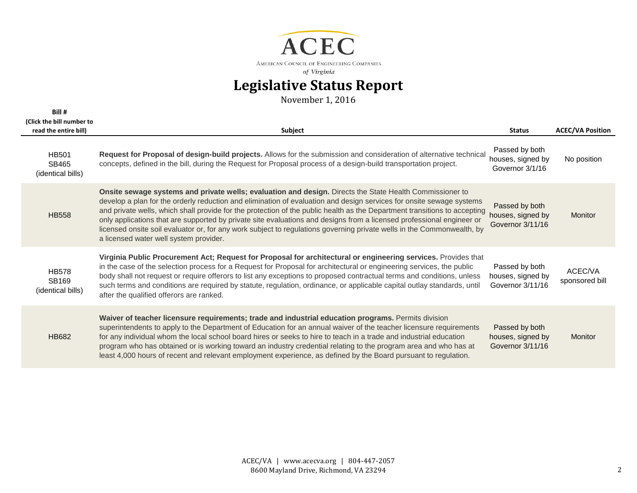

| Bill #<br>(Click the bill number to               |                                                                                                                                                                                                                                                                                                                                                                                                                                                                                                                                                                                                                                                            |                                                         |                           |
|---------------------------------------------------|------------------------------------------------------------------------------------------------------------------------------------------------------------------------------------------------------------------------------------------------------------------------------------------------------------------------------------------------------------------------------------------------------------------------------------------------------------------------------------------------------------------------------------------------------------------------------------------------------------------------------------------------------------|---------------------------------------------------------|---------------------------|
| read the entire bill)                             | Subject                                                                                                                                                                                                                                                                                                                                                                                                                                                                                                                                                                                                                                                    | <b>Status</b>                                           | <b>ACEC/VA Position</b>   |
| <b>HB501</b><br>SB465<br>(identical bills)        | Request for Proposal of design-build projects. Allows for the submission and consideration of alternative technical<br>concepts, defined in the bill, during the Request for Proposal process of a design-build transportation project.                                                                                                                                                                                                                                                                                                                                                                                                                    | Passed by both<br>houses, signed by<br>Governor 3/1/16  | No position               |
| <b>HB558</b>                                      | Onsite sewage systems and private wells; evaluation and design. Directs the State Health Commissioner to<br>develop a plan for the orderly reduction and elimination of evaluation and design services for onsite sewage systems<br>and private wells, which shall provide for the protection of the public health as the Department transitions to accepting<br>only applications that are supported by private site evaluations and designs from a licensed professional engineer or<br>licensed onsite soil evaluator or, for any work subject to regulations governing private wells in the Commonwealth, by<br>a licensed water well system provider. | Passed by both<br>houses, signed by<br>Governor 3/11/16 | Monitor                   |
| <b>HB578</b><br><b>SB169</b><br>(identical bills) | Virginia Public Procurement Act; Request for Proposal for architectural or engineering services. Provides that<br>in the case of the selection process for a Request for Proposal for architectural or engineering services, the public<br>body shall not request or require offerors to list any exceptions to proposed contractual terms and conditions, unless<br>such terms and conditions are required by statute, regulation, ordinance, or applicable capital outlay standards, until<br>after the qualified offerors are ranked.                                                                                                                   | Passed by both<br>houses, signed by<br>Governor 3/11/16 | ACEC/VA<br>sponsored bill |
| <b>HB682</b>                                      | Waiver of teacher licensure requirements; trade and industrial education programs. Permits division<br>superintendents to apply to the Department of Education for an annual waiver of the teacher licensure requirements<br>for any individual whom the local school board hires or seeks to hire to teach in a trade and industrial education<br>program who has obtained or is working toward an industry credential relating to the program area and who has at<br>least 4,000 hours of recent and relevant employment experience, as defined by the Board pursuant to regulation.                                                                     | Passed by both<br>houses, signed by<br>Governor 3/11/16 | Monitor                   |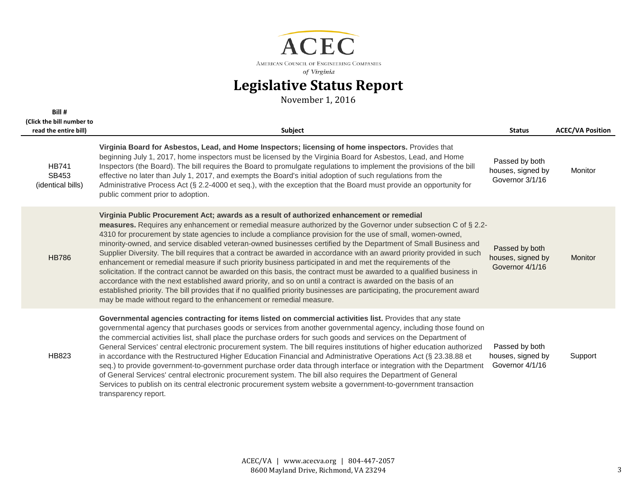

| Bill #                                             |                                                                                                                                                                                                                                                                                                                                                                                                                                                                                                                                                                                                                                                                                                                                                                                                                                                                                                                                                                                                                                                                                                                                    |                                                        |                         |
|----------------------------------------------------|------------------------------------------------------------------------------------------------------------------------------------------------------------------------------------------------------------------------------------------------------------------------------------------------------------------------------------------------------------------------------------------------------------------------------------------------------------------------------------------------------------------------------------------------------------------------------------------------------------------------------------------------------------------------------------------------------------------------------------------------------------------------------------------------------------------------------------------------------------------------------------------------------------------------------------------------------------------------------------------------------------------------------------------------------------------------------------------------------------------------------------|--------------------------------------------------------|-------------------------|
| (Click the bill number to<br>read the entire bill) | Subject                                                                                                                                                                                                                                                                                                                                                                                                                                                                                                                                                                                                                                                                                                                                                                                                                                                                                                                                                                                                                                                                                                                            | <b>Status</b>                                          | <b>ACEC/VA Position</b> |
|                                                    | Virginia Board for Asbestos, Lead, and Home Inspectors; licensing of home inspectors. Provides that                                                                                                                                                                                                                                                                                                                                                                                                                                                                                                                                                                                                                                                                                                                                                                                                                                                                                                                                                                                                                                |                                                        |                         |
| <b>HB741</b><br>SB453<br>(identical bills)         | beginning July 1, 2017, home inspectors must be licensed by the Virginia Board for Asbestos, Lead, and Home<br>Inspectors (the Board). The bill requires the Board to promulgate regulations to implement the provisions of the bill<br>effective no later than July 1, 2017, and exempts the Board's initial adoption of such regulations from the<br>Administrative Process Act (§ 2.2-4000 et seq.), with the exception that the Board must provide an opportunity for<br>public comment prior to adoption.                                                                                                                                                                                                                                                                                                                                                                                                                                                                                                                                                                                                                     | Passed by both<br>houses, signed by<br>Governor 3/1/16 | <b>Monitor</b>          |
| <b>HB786</b>                                       | Virginia Public Procurement Act; awards as a result of authorized enhancement or remedial<br>measures. Requires any enhancement or remedial measure authorized by the Governor under subsection C of § 2.2-<br>4310 for procurement by state agencies to include a compliance provision for the use of small, women-owned,<br>minority-owned, and service disabled veteran-owned businesses certified by the Department of Small Business and<br>Supplier Diversity. The bill requires that a contract be awarded in accordance with an award priority provided in such<br>enhancement or remedial measure if such priority business participated in and met the requirements of the<br>solicitation. If the contract cannot be awarded on this basis, the contract must be awarded to a qualified business in<br>accordance with the next established award priority, and so on until a contract is awarded on the basis of an<br>established priority. The bill provides that if no qualified priority businesses are participating, the procurement award<br>may be made without regard to the enhancement or remedial measure. | Passed by both<br>houses, signed by<br>Governor 4/1/16 | <b>Monitor</b>          |
| <b>HB823</b>                                       | Governmental agencies contracting for items listed on commercial activities list. Provides that any state<br>governmental agency that purchases goods or services from another governmental agency, including those found on<br>the commercial activities list, shall place the purchase orders for such goods and services on the Department of<br>General Services' central electronic procurement system. The bill requires institutions of higher education authorized<br>in accordance with the Restructured Higher Education Financial and Administrative Operations Act (§ 23.38.88 et<br>seq.) to provide government-to-government purchase order data through interface or integration with the Department<br>of General Services' central electronic procurement system. The bill also requires the Department of General<br>Services to publish on its central electronic procurement system website a government-to-government transaction<br>transparency report.                                                                                                                                                     | Passed by both<br>houses, signed by<br>Governor 4/1/16 | Support                 |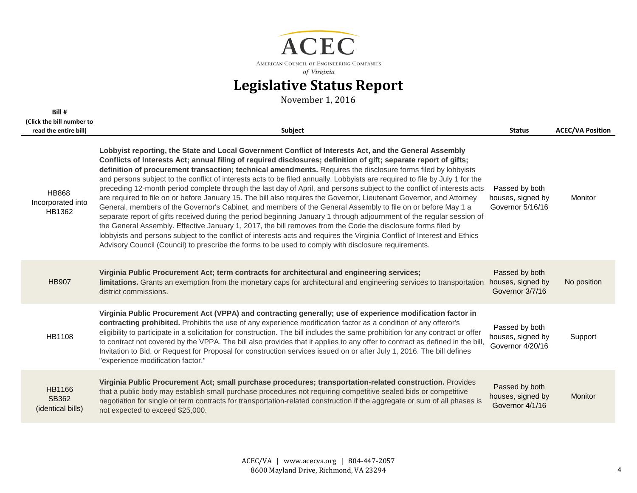

| Bill #                                             |                                                                                                                                                                                                                                                                                                                                                                                                                                                                                                                                                                                                                                                                                                                                                                                                                                                                                                                                                                                                                                                                                                                                                                                                                                                                                                                               |                                                         |                         |
|----------------------------------------------------|-------------------------------------------------------------------------------------------------------------------------------------------------------------------------------------------------------------------------------------------------------------------------------------------------------------------------------------------------------------------------------------------------------------------------------------------------------------------------------------------------------------------------------------------------------------------------------------------------------------------------------------------------------------------------------------------------------------------------------------------------------------------------------------------------------------------------------------------------------------------------------------------------------------------------------------------------------------------------------------------------------------------------------------------------------------------------------------------------------------------------------------------------------------------------------------------------------------------------------------------------------------------------------------------------------------------------------|---------------------------------------------------------|-------------------------|
| (Click the bill number to<br>read the entire bill) | Subject                                                                                                                                                                                                                                                                                                                                                                                                                                                                                                                                                                                                                                                                                                                                                                                                                                                                                                                                                                                                                                                                                                                                                                                                                                                                                                                       | <b>Status</b>                                           | <b>ACEC/VA Position</b> |
| <b>HB868</b><br>Incorporated into<br>HB1362        | Lobbyist reporting, the State and Local Government Conflict of Interests Act, and the General Assembly<br>Conflicts of Interests Act; annual filing of required disclosures; definition of gift; separate report of gifts;<br>definition of procurement transaction; technical amendments. Requires the disclosure forms filed by lobbyists<br>and persons subject to the conflict of interests acts to be filed annually. Lobbyists are required to file by July 1 for the<br>preceding 12-month period complete through the last day of April, and persons subject to the conflict of interests acts<br>are required to file on or before January 15. The bill also requires the Governor, Lieutenant Governor, and Attorney<br>General, members of the Governor's Cabinet, and members of the General Assembly to file on or before May 1 a<br>separate report of gifts received during the period beginning January 1 through adjournment of the regular session of<br>the General Assembly. Effective January 1, 2017, the bill removes from the Code the disclosure forms filed by<br>lobbyists and persons subject to the conflict of interests acts and requires the Virginia Conflict of Interest and Ethics<br>Advisory Council (Council) to prescribe the forms to be used to comply with disclosure requirements. | Passed by both<br>houses, signed by<br>Governor 5/16/16 | Monitor                 |
| <b>HB907</b>                                       | Virginia Public Procurement Act; term contracts for architectural and engineering services;<br>limitations. Grants an exemption from the monetary caps for architectural and engineering services to transportation<br>district commissions.                                                                                                                                                                                                                                                                                                                                                                                                                                                                                                                                                                                                                                                                                                                                                                                                                                                                                                                                                                                                                                                                                  | Passed by both<br>houses, signed by<br>Governor 3/7/16  | No position             |
| <b>HB1108</b>                                      | Virginia Public Procurement Act (VPPA) and contracting generally; use of experience modification factor in<br>contracting prohibited. Prohibits the use of any experience modification factor as a condition of any offeror's<br>eligibility to participate in a solicitation for construction. The bill includes the same prohibition for any contract or offer<br>to contract not covered by the VPPA. The bill also provides that it applies to any offer to contract as defined in the bill,<br>Invitation to Bid, or Request for Proposal for construction services issued on or after July 1, 2016. The bill defines<br>"experience modification factor."                                                                                                                                                                                                                                                                                                                                                                                                                                                                                                                                                                                                                                                               | Passed by both<br>houses, signed by<br>Governor 4/20/16 | Support                 |
| <b>HB1166</b><br><b>SB362</b><br>(identical bills) | Virginia Public Procurement Act; small purchase procedures; transportation-related construction. Provides<br>that a public body may establish small purchase procedures not requiring competitive sealed bids or competitive<br>negotiation for single or term contracts for transportation-related construction if the aggregate or sum of all phases is<br>not expected to exceed \$25,000.                                                                                                                                                                                                                                                                                                                                                                                                                                                                                                                                                                                                                                                                                                                                                                                                                                                                                                                                 | Passed by both<br>houses, signed by<br>Governor 4/1/16  | Monitor                 |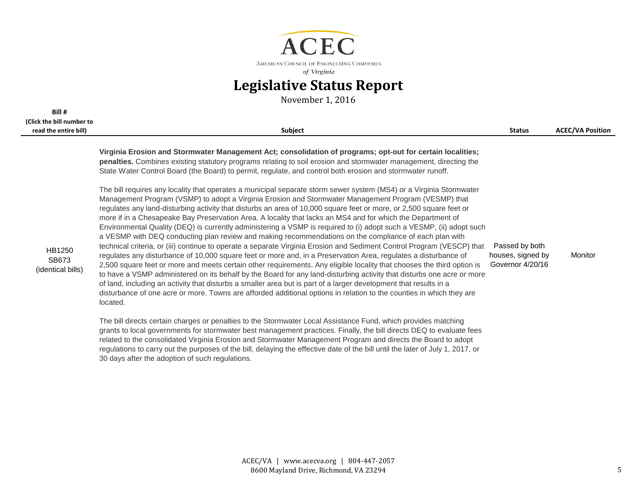

November 1, 2016

**Bill #** 

| (Click the bill number to<br>read the entire bill) | <b>Subject</b>                                                                                                                                                                                                                                                                                                                                                                                                                                                                                                                                                                                                                                                                                                                                                                                                                                                                                                                                                                                                                                                                                                                                                                                                                                                                                                                                                                                                                                                | <b>Status</b>                                           | <b>ACEC/VA Position</b> |
|----------------------------------------------------|---------------------------------------------------------------------------------------------------------------------------------------------------------------------------------------------------------------------------------------------------------------------------------------------------------------------------------------------------------------------------------------------------------------------------------------------------------------------------------------------------------------------------------------------------------------------------------------------------------------------------------------------------------------------------------------------------------------------------------------------------------------------------------------------------------------------------------------------------------------------------------------------------------------------------------------------------------------------------------------------------------------------------------------------------------------------------------------------------------------------------------------------------------------------------------------------------------------------------------------------------------------------------------------------------------------------------------------------------------------------------------------------------------------------------------------------------------------|---------------------------------------------------------|-------------------------|
|                                                    | Virginia Erosion and Stormwater Management Act; consolidation of programs; opt-out for certain localities;<br>penalties. Combines existing statutory programs relating to soil erosion and stormwater management, directing the<br>State Water Control Board (the Board) to permit, regulate, and control both erosion and stormwater runoff.                                                                                                                                                                                                                                                                                                                                                                                                                                                                                                                                                                                                                                                                                                                                                                                                                                                                                                                                                                                                                                                                                                                 | Passed by both<br>houses, signed by<br>Governor 4/20/16 | Monitor                 |
| HB1250<br>SB673<br>(identical bills)               | The bill requires any locality that operates a municipal separate storm sewer system (MS4) or a Virginia Stormwater<br>Management Program (VSMP) to adopt a Virginia Erosion and Stormwater Management Program (VESMP) that<br>regulates any land-disturbing activity that disturbs an area of 10,000 square feet or more, or 2,500 square feet or<br>more if in a Chesapeake Bay Preservation Area. A locality that lacks an MS4 and for which the Department of<br>Environmental Quality (DEQ) is currently administering a VSMP is required to (i) adopt such a VESMP, (ii) adopt such<br>a VESMP with DEQ conducting plan review and making recommendations on the compliance of each plan with<br>technical criteria, or (iii) continue to operate a separate Virginia Erosion and Sediment Control Program (VESCP) that<br>regulates any disturbance of 10,000 square feet or more and, in a Preservation Area, regulates a disturbance of<br>2,500 square feet or more and meets certain other requirements. Any eligible locality that chooses the third option is<br>to have a VSMP administered on its behalf by the Board for any land-disturbing activity that disturbs one acre or more<br>of land, including an activity that disturbs a smaller area but is part of a larger development that results in a<br>disturbance of one acre or more. Towns are afforded additional options in relation to the counties in which they are<br>located. |                                                         |                         |
|                                                    | The bill directs certain charges or penalties to the Stormwater Local Assistance Fund, which provides matching<br>grants to local governments for stormwater best management practices. Finally, the bill directs DEQ to evaluate fees<br>related to the consolidated Virginia Erosion and Stormwater Management Program and directs the Board to adopt                                                                                                                                                                                                                                                                                                                                                                                                                                                                                                                                                                                                                                                                                                                                                                                                                                                                                                                                                                                                                                                                                                       |                                                         |                         |

regulations to carry out the purposes of the bill, delaying the effective date of the bill until the later of July 1, 2017, or

30 days after the adoption of such regulations.